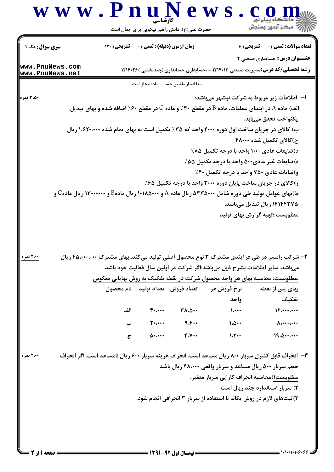## W W . P n u N e W S . Com

| <b>سری سوال :</b> یک ۱             | <b>تشریحی : ۱۲۰</b>                                                                                | زمان آزمون (دقيقه) : تستى : 0      |                                     | <b>تشریحی : ۶</b>                                                                      | <b>تعداد سوالات : تستي : 0</b>        |
|------------------------------------|----------------------------------------------------------------------------------------------------|------------------------------------|-------------------------------------|----------------------------------------------------------------------------------------|---------------------------------------|
|                                    |                                                                                                    |                                    |                                     |                                                                                        | <b>عنـــوان درس:</b> حسابداری صنعتی ۲ |
| www.PnuNews.com<br>www.PnuNews.net |                                                                                                    |                                    |                                     | <b>رشته تحصیلی/کد درس:</b> مدیریت صنعتی ۱۲۱۴۰۱۳ - ،حسابداری،حسابداری (چندبخشی )۱۲۱۴۰۲۶ |                                       |
|                                    |                                                                                                    |                                    | استفاده از ماشین حساب ساده مجاز است |                                                                                        |                                       |
| ۳،۵۰ نمره                          |                                                                                                    |                                    |                                     | ا–   اطلاعات زیر مربوط به شرکت نوشهر میباشد:                                           |                                       |
|                                    | الف) ماده A در ابتدای عملیات، ماده B در مقطع ۳۰٪ و ماده C در مقطع ۶۰٪ اضافه شده و بهای تبدیل       |                                    |                                     |                                                                                        |                                       |
|                                    |                                                                                                    |                                    |                                     |                                                                                        | يكنواخت تحقق مييابد.                  |
|                                    | ب) کالای در جریان ساخت اول دوره ۴۰۰۰ واحد که ۳۵٪ تکمیل است به بهای تمام شده ۱،۶۲۰،۰۰۰ ریال         |                                    |                                     |                                                                                        |                                       |
|                                    |                                                                                                    |                                    |                                     |                                                                                        | ج)کالای تکمیل شده ۴۸۰۰۰               |
|                                    |                                                                                                    |                                    |                                     | د)ضایعات عادی ۱۰۰۰ واحد با درجه تکمیل ۸۵٪                                              |                                       |
|                                    |                                                                                                    |                                    |                                     | ه)ضایعات غیر عادی۵۰۰ واحد با درجه تکمیل ۵۵٪                                            |                                       |
|                                    |                                                                                                    |                                    |                                     | و)ضایات عادی ۷۵۰ واحد با درجه تکمیل ۴۰٪                                                |                                       |
|                                    |                                                                                                    |                                    |                                     | ز)کالای در جریان ساخت پایان دوره ۳۰۰۰ واحد با درجه تکمیل ۶۵٪                           |                                       |
|                                    | ط)بهای عوامل تولید طی دوره شامل ۵۳۳۵۰۰۰ ریال ماده A و ۱۰۱۸۵۰۰۰ ریال مادهB و ۱۳۰۰۰۰۰۰ ریال مادهC و  |                                    |                                     |                                                                                        |                                       |
|                                    |                                                                                                    |                                    |                                     |                                                                                        | ۱۶۱۴۴۳۷۵ ریال تبدیل میباشد.           |
|                                    |                                                                                                    |                                    |                                     | مطلوبست :تهیه گزارش بهای تولید.                                                        |                                       |
| <u>۲،۰۰ نمره</u>                   | ۲– شرکت رامسر در طی فر آیندی مشترک ۳ نوع محصول اصلی تولید میکند. بهای مشترک ۴۵،۰۰۰،۰۰۰ ریال        |                                    |                                     | میباشد. سایر اطلاعات بشرح ذیل میباشد:اگر شرکت در اولین سال فعالیت خود باشد.            |                                       |
|                                    |                                                                                                    |                                    |                                     | .مطلوبست: محاسبه بهای هر واحد محصول شرکت در نقطه تفکیک به روش بهایابی معکوس            |                                       |
|                                    |                                                                                                    | تعداد فروش كتعداد توليد منام محصول |                                     | نرخ فروش هر                                                                            | بهای پس از نقطه                       |
|                                    |                                                                                                    |                                    |                                     | واحد                                                                                   | تفكيك                                 |
|                                    | الف                                                                                                | $F \cdot \cdots$                   | $T\Lambda$ . $\Delta$               | $\mathcal{L}$                                                                          | 15                                    |
|                                    | ب                                                                                                  | $\mathbf{y}$                       | 9.8                                 | 1.0                                                                                    | $\Lambda$                             |
|                                    | $\overline{c}$                                                                                     | $\Delta$                           | F.V                                 | 1.7                                                                                    | 19.0                                  |
| ۲،۰۰ نمره                          | ۳- انحراف قابل کنترل سربار ۸۰۰ ریال مساعد است. انحراف هزینه سربار ۶۰۰ ریال نامساعد است. اگر انحراف |                                    |                                     |                                                                                        |                                       |
|                                    |                                                                                                    |                                    |                                     | حجم سربار ۵۰۰ ریال مساعد و سربار واقعی ۴۸،۰۰۰ ریال باشد.                               |                                       |
|                                    |                                                                                                    |                                    |                                     | مطلوبست١)محاسبه انحراف كارايي سربار متغير.                                             |                                       |
|                                    |                                                                                                    |                                    |                                     | ۲) سربار استاندارد چند ریال است                                                        |                                       |
|                                    |                                                                                                    |                                    |                                     | ۳) ثبتهای لازم در روش یگانه با استفاده از سربار ۳ انحرافی انجام شود.                   |                                       |
|                                    |                                                                                                    |                                    |                                     |                                                                                        |                                       |
|                                    |                                                                                                    |                                    |                                     |                                                                                        |                                       |
|                                    |                                                                                                    |                                    |                                     |                                                                                        |                                       |